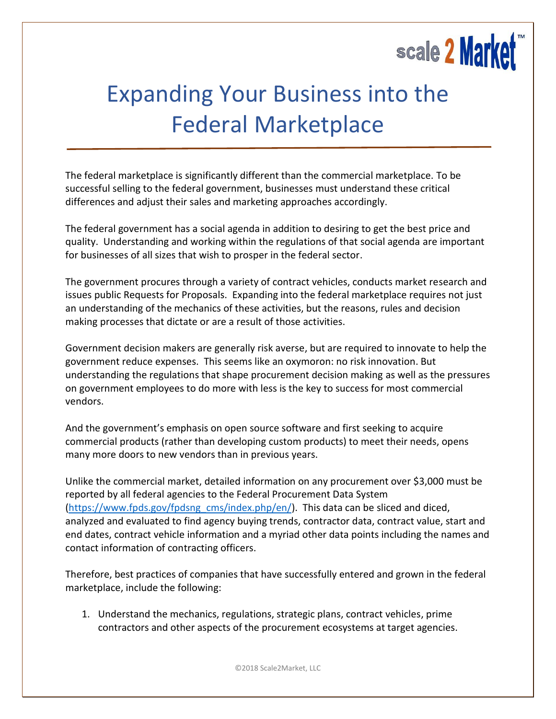## scale 2 Market

## Expanding Your Business into the Federal Marketplace

The federal marketplace is significantly different than the commercial marketplace. To be successful selling to the federal government, businesses must understand these critical differences and adjust their sales and marketing approaches accordingly.

The federal government has a social agenda in addition to desiring to get the best price and quality. Understanding and working within the regulations of that social agenda are important for businesses of all sizes that wish to prosper in the federal sector.

The government procures through a variety of contract vehicles, conducts market research and issues public Requests for Proposals. Expanding into the federal marketplace requires not just an understanding of the mechanics of these activities, but the reasons, rules and decision making processes that dictate or are a result of those activities.

Government decision makers are generally risk averse, but are required to innovate to help the government reduce expenses. This seems like an oxymoron: no risk innovation. But understanding the regulations that shape procurement decision making as well as the pressures on government employees to do more with less is the key to success for most commercial vendors.

And the government's emphasis on open source software and first seeking to acquire commercial products (rather than developing custom products) to meet their needs, opens many more doors to new vendors than in previous years.

Unlike the commercial market, detailed information on any procurement over \$3,000 must be reported by all federal agencies to the Federal Procurement Data System [\(https://www.fpds.gov/fpdsng\\_cms/index.php/en/\)](https://www.fpds.gov/fpdsng_cms/index.php/en/). This data can be sliced and diced, analyzed and evaluated to find agency buying trends, contractor data, contract value, start and end dates, contract vehicle information and a myriad other data points including the names and contact information of contracting officers.

Therefore, best practices of companies that have successfully entered and grown in the federal marketplace, include the following:

1. Understand the mechanics, regulations, strategic plans, contract vehicles, prime contractors and other aspects of the procurement ecosystems at target agencies.

©2018 Scale2Market, LLC